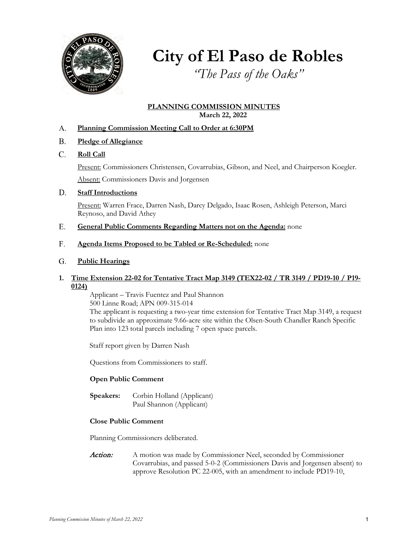

# **City of El Paso de Robles**

*"The Pass of the Oaks"*

# **PLANNING COMMISSION MINUTES March 22, 2022**

## **Planning Commission Meeting Call to Order at 6:30PM** A.

- **Pledge of Allegiance** B.
- **Roll Call** C.

Present: Commissioners Christensen, Covarrubias, Gibson, and Neel, and Chairperson Koegler.

Absent: Commissioners Davis and Jorgensen

### **Staff Introductions** D.

Present: Warren Frace, Darren Nash, Darcy Delgado, Isaac Rosen, Ashleigh Peterson, Marci Reynoso, and David Athey

- **General Public Comments Regarding Matters not on the Agenda:** none E.
- **Agenda Items Proposed to be Tabled or Re-Scheduled:** none F.

### **Public Hearings** G.

# **1. Time Extension 22-02 for Tentative Tract Map 3149 (TEX22-02 / TR 3149 / PD19-10 / P19- 0124)**

Applicant – Travis Fuentez and Paul Shannon 500 Linne Road; APN 009-315-014

The applicant is requesting a two-year time extension for Tentative Tract Map 3149, a request to subdivide an approximate 9.66-acre site within the Olsen-South Chandler Ranch Specific Plan into 123 total parcels including 7 open space parcels.

Staff report given by Darren Nash

Questions from Commissioners to staff.

# **Open Public Comment**

**Speakers:** Corbin Holland (Applicant) Paul Shannon (Applicant)

# **Close Public Comment**

Planning Commissioners deliberated.

Action: A motion was made by Commissioner Neel, seconded by Commissioner Covarrubias, and passed 5-0-2 (Commissioners Davis and Jorgensen absent) to approve Resolution PC 22-005, with an amendment to include PD19-10,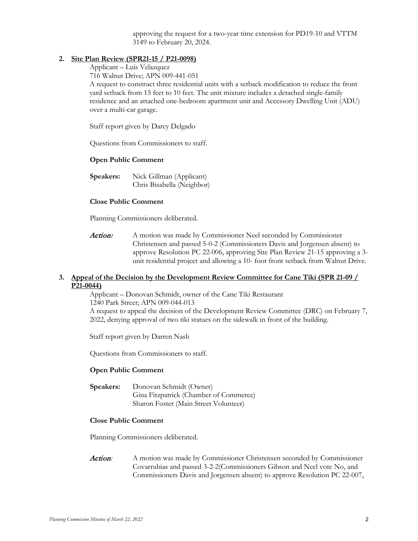approving the request for a two-year time extension for PD19-10 and VTTM 3149 to February 20, 2024.

# **2. Site Plan Review [\(SPR21-15 / P21-0098\)](https://www.prcity.com/DocumentCenter/View/33357/March-22-2022-Planning-Commission-Item-2-PDF)**

Applicant – Luis Velazquez

716 Walnut Drive; APN 009-441-051

A request to construct three residential units with a setback modification to reduce the front yard setback from 15 feet to 10 feet. The unit mixture includes a detached single-family residence and an attached one-bedroom apartment unit and Accessory Dwelling Unit (ADU) over a multi-car garage.

Staff report given by Darcy Delgado

Questions from Commissioners to staff.

## **Open Public Comment**

**Speakers:** Nick Gillman (Applicant) Chris Bisabella (Neighbor)

## **Close Public Comment**

Planning Commissioners deliberated.

Action: A motion was made by Commissioner Neel seconded by Commissioner Christensen and passed 5-0-2 (Commissioners Davis and Jorgensen absent) to approve Resolution PC 22-006, approving Site Plan Review 21-15 approving a 3 unit residential project and allowing a 10- foot front setback from Walnut Drive.

# **3. Appeal of the Decision by the Development Review Committee for Cane Tiki (SPR 21-09 / P21-0044)**

Applicant – Donovan Schmidt, owner of the Cane Tiki Restaurant 1240 Park Street; APN 009-044-013

A request to appeal the decision of the Development Review Committee (DRC) on February 7, 2022, denying approval of two tiki statues on the sidewalk in front of the building.

Staff report given by Darren Nash

Questions from Commissioners to staff.

## **Open Public Comment**

**Speakers:** Donovan Schmidt (Owner) Gina Fitzpatrick (Chamber of Commerce) Sharon Foster (Main Street Volunteer)

# **Close Public Comment**

Planning Commissioners deliberated.

Action*:* A motion was made by Commissioner Christensen seconded by Commissioner Covarrubias and passed 3-2-2(Commissioners Gibson and Neel vote No, and Commissioners Davis and Jorgensen absent) to approve Resolution PC 22-007,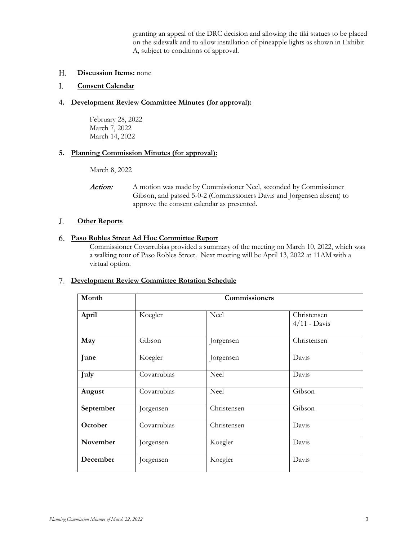granting an appeal of the DRC decision and allowing the tiki statues to be placed on the sidewalk and to allow installation of pineapple lights as shown in Exhibit A, subject to conditions of approval.

**Discussion Items:** none H.

### **Consent Calendar** I.

# **4. Development Review Committee Minutes (for approval):**

February 28, 2022 March 7, 2022 March 14, 2022

# **5. Planning Commission Minutes (for approval):**

March 8, 2022

Action: A motion was made by Commissioner Neel, seconded by Commissioner Gibson, and passed 5-0-2 (Commissioners Davis and Jorgensen absent) to approve the consent calendar as presented.

#### **Other Reports** J.

# **Paso Robles Street Ad Hoc Committee Report** 6.

Commissioner Covarrubias provided a summary of the meeting on March 10, 2022, which was a walking tour of Paso Robles Street. Next meeting will be April 13, 2022 at 11AM with a virtual option.

# **Development Review Committee Rotation Schedule**  7.

| Month     | Commissioners |             |                               |
|-----------|---------------|-------------|-------------------------------|
| April     | Koegler       | Neel        | Christensen<br>$4/11$ - Davis |
| May       | Gibson        | Jorgensen   | Christensen                   |
| June      | Koegler       | Jorgensen   | Davis                         |
| July      | Covarrubias   | Neel        | Davis                         |
| August    | Covarrubias   | Neel        | Gibson                        |
| September | Jorgensen     | Christensen | Gibson                        |
| October   | Covarrubias   | Christensen | Davis                         |
| November  | Jorgensen     | Koegler     | Davis                         |
| December  | Jorgensen     | Koegler     | Davis                         |